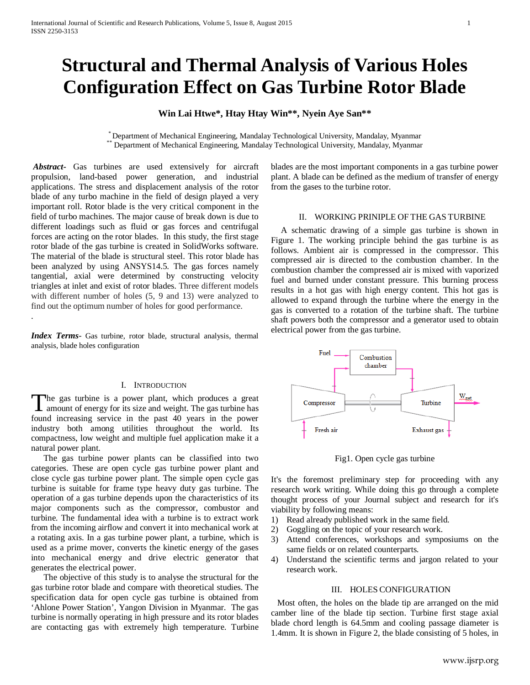# **Structural and Thermal Analysis of Various Holes Configuration Effect on Gas Turbine Rotor Blade**

## **Win Lai Htwe\*, Htay Htay Win\*\*, Nyein Aye San\*\***

\* Department of Mechanical Engineering, Mandalay Technological University, Mandalay, Myanmar \*\* Department of Mechanical Engineering, Mandalay Technological University, Mandalay, Myanmar

*Abstract***-** Gas turbines are used extensively for aircraft propulsion, land-based power generation, and industrial applications. The stress and displacement analysis of the rotor blade of any turbo machine in the field of design played a very important roll. Rotor blade is the very critical component in the field of turbo machines. The major cause of break down is due to different loadings such as fluid or gas forces and centrifugal forces are acting on the rotor blades. In this study, the first stage rotor blade of the gas turbine is created in SolidWorks software. The material of the blade is structural steel. This rotor blade has been analyzed by using ANSYS14.5. The gas forces namely tangential, axial were determined by constructing velocity triangles at inlet and exist of rotor blades. Three different models with different number of holes (5, 9 and 13) were analyzed to find out the optimum number of holes for good performance.

*Index Terms*- Gas turbine, rotor blade, structural analysis, thermal analysis, blade holes configuration

.

#### I. INTRODUCTION

The gas turbine is a power plant, which produces a great The gas turbine is a power plant, which produces a great amount of energy for its size and weight. The gas turbine has found increasing service in the past 40 years in the power industry both among utilities throughout the world. Its compactness, low weight and multiple fuel application make it a natural power plant.

The gas turbine power plants can be classified into two categories. These are open cycle gas turbine power plant and close cycle gas turbine power plant. The simple open cycle gas turbine is suitable for frame type heavy duty gas turbine. The operation of a gas turbine depends upon the characteristics of its major components such as the compressor, combustor and turbine. The fundamental idea with a turbine is to extract work from the incoming airflow and convert it into mechanical work at a rotating axis. In a gas turbine power plant, a turbine, which is used as a prime mover, converts the kinetic energy of the gases into mechanical energy and drive electric generator that generates the electrical power.

The objective of this study is to analyse the structural for the gas turbine rotor blade and compare with theoretical studies. The specification data for open cycle gas turbine is obtained from 'Ahlone Power Station', Yangon Division in Myanmar. The gas turbine is normally operating in high pressure and its rotor blades are contacting gas with extremely high temperature. Turbine blades are the most important components in a gas turbine power plant. A blade can be defined as the medium of transfer of energy from the gases to the turbine rotor.

#### II. WORKING PRINIPLE OF THE GAS TURBINE

A schematic drawing of a simple gas turbine is shown in Figure 1. The working principle behind the gas turbine is as follows. Ambient air is compressed in the compressor. This compressed air is directed to the combustion chamber. In the combustion chamber the compressed air is mixed with vaporized fuel and burned under constant pressure. This burning process results in a hot gas with high energy content. This hot gas is allowed to expand through the turbine where the energy in the gas is converted to a rotation of the turbine shaft. The turbine shaft powers both the compressor and a generator used to obtain electrical power from the gas turbine.



Fig1. Open cycle gas turbine

It's the foremost preliminary step for proceeding with any research work writing. While doing this go through a complete thought process of your Journal subject and research for it's viability by following means:

- 1) Read already published work in the same field.
- 2) Goggling on the topic of your research work.
- 3) Attend conferences, workshops and symposiums on the same fields or on related counterparts.
- 4) Understand the scientific terms and jargon related to your research work.

## III. HOLES CONFIGURATION

 Most often, the holes on the blade tip are arranged on the mid camber line of the blade tip section. Turbine first stage axial blade chord length is 64.5mm and cooling passage diameter is 1.4mm. It is shown in Figure 2, the blade consisting of 5 holes, in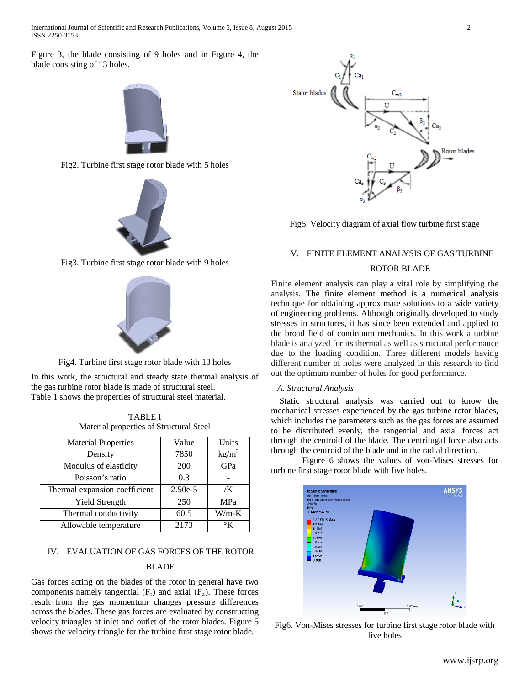International Journal of Scientific and Research Publications, Volume 5, Issue 8, August 2015 2 ISSN 2250-3153

Figure 3, the blade consisting of 9 holes and in Figure 4, the blade consisting of 13 holes.



Fig2. Turbine first stage rotor blade with 5 holes



Fig3. Turbine first stage rotor blade with 9 holes



Fig4. Turbine first stage rotor blade with 13 holes

In this work, the structural and steady state thermal analysis of the gas turbine rotor blade is made of structural steel. Table 1 shows the properties of structural steel material.

TABLE I Material properties of Structural Steel

| <b>Material Properties</b>    | Value     | Units         |
|-------------------------------|-----------|---------------|
| Density                       | 7850      | $kg/m^3$      |
| Modulus of elasticity         | 200       | GPa           |
| Poisson's ratio               | 0.3       |               |
| Thermal expansion coefficient | $2.50e-5$ | /K            |
| <b>Yield Strength</b>         | 250       | MPa           |
| Thermal conductivity          | 60.5      | $W/m-K$       |
| Allowable temperature         | 2173      | $\mathcal{C}$ |

#### IV. EVALUATION OF GAS FORCES OF THE ROTOR

## BLADE

Gas forces acting on the blades of the rotor in general have two components namely tangential  $(F_t)$  and axial  $(F_a)$ . These forces result from the gas momentum changes pressure differences across the blades. These gas forces are evaluated by constructing velocity triangles at inlet and outlet of the rotor blades. Figure 5 shows the velocity triangle for the turbine first stage rotor blade.



Fig5. Velocity diagram of axial flow turbine first stage

#### V. FINITE ELEMENT ANALYSIS OF GAS TURBINE

#### ROTOR BLADE

Finite element analysis can play a vital role by simplifying the analysis. The finite element method is a numerical analysis technique for obtaining approximate solutions to a wide variety of engineering problems. Although originally developed to study stresses in structures, it has since been extended and applied to the broad field of continuum mechanics. In this work a turbine blade is analyzed for its thermal as well as structural performance due to the loading condition. Three different models having different number of holes were analyzed in this research to find out the optimum number of holes for good performance.

#### *A. Structural Analysis*

 Static structural analysis was carried out to know the mechanical stresses experienced by the gas turbine rotor blades, which includes the parameters such as the gas forces are assumed to be distributed evenly, the tangential and axial forces act through the centroid of the blade. The centrifugal force also acts through the centroid of the blade and in the radial direction.

Figure 6 shows the values of von-Mises stresses for turbine first stage rotor blade with five holes.



Fig6. Von-Mises stresses for turbine first stage rotor blade with five holes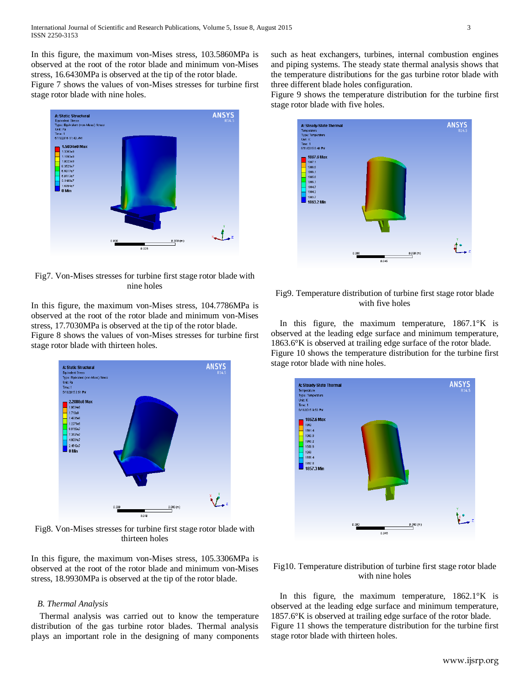In this figure, the maximum von-Mises stress, 103.5860MPa is observed at the root of the rotor blade and minimum von-Mises stress, 16.6430MPa is observed at the tip of the rotor blade.

Figure 7 shows the values of von-Mises stresses for turbine first stage rotor blade with nine holes.



Fig7. Von-Mises stresses for turbine first stage rotor blade with nine holes

In this figure, the maximum von-Mises stress, 104.7786MPa is observed at the root of the rotor blade and minimum von-Mises stress, 17.7030MPa is observed at the tip of the rotor blade.

Figure 8 shows the values of von-Mises stresses for turbine first stage rotor blade with thirteen holes.



Fig8. Von-Mises stresses for turbine first stage rotor blade with thirteen holes

In this figure, the maximum von-Mises stress, 105.3306MPa is observed at the root of the rotor blade and minimum von-Mises stress, 18.9930MPa is observed at the tip of the rotor blade.

#### *B. Thermal Analysis*

 Thermal analysis was carried out to know the temperature distribution of the gas turbine rotor blades. Thermal analysis plays an important role in the designing of many components

such as heat exchangers, turbines, internal combustion engines and piping systems. The steady state thermal analysis shows that the temperature distributions for the gas turbine rotor blade with three different blade holes configuration.

Figure 9 shows the temperature distribution for the turbine first stage rotor blade with five holes.



## Fig9. Temperature distribution of turbine first stage rotor blade with five holes

In this figure, the maximum temperature, 1867.1°K is observed at the leading edge surface and minimum temperature, 1863.6°K is observed at trailing edge surface of the rotor blade. Figure 10 shows the temperature distribution for the turbine first stage rotor blade with nine holes.



Fig10. Temperature distribution of turbine first stage rotor blade with nine holes

In this figure, the maximum temperature, 1862.1°K is observed at the leading edge surface and minimum temperature, 1857.6°K is observed at trailing edge surface of the rotor blade. Figure 11 shows the temperature distribution for the turbine first stage rotor blade with thirteen holes.